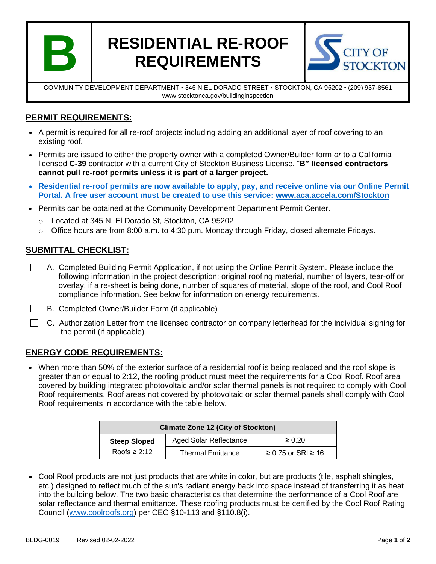

# **RESIDENTIAL RE-ROOF REQUIREMENTS**



COMMUNITY DEVELOPMENT DEPARTMENT • 345 N EL DORADO STREET • STOCKTON, CA 95202 • (209) 937-8561 www.stocktonca.gov/buildinginspection

# **PERMIT REQUIREMENTS:**

- A permit is required for all re-roof projects including adding an additional layer of roof covering to an existing roof.
- Permits are issued to either the property owner with a completed Owner/Builder form *or* to a California licensed **C-39** contractor with a current City of Stockton Business License. "**B" licensed contractors cannot pull re-roof permits unless it is part of a larger project.**
- **Residential re-roof permits are now available to apply, pay, and receive online via our Online Permit Portal. A free user account must be created to use this service: [www.aca.accela.com/Stockton](http://www.aca.accela.com/Stockton)**
- Permits can be obtained at the Community Development Department Permit Center.
	- o Located at 345 N. El Dorado St, Stockton, CA 95202
	- $\circ$  Office hours are from 8:00 a.m. to 4:30 p.m. Monday through Friday, closed alternate Fridays.

## **SUBMITTAL CHECKLIST:**

- A. Completed Building Permit Application, if not using the Online Permit System. Please include the following information in the project description: original roofing material, number of layers, tear-off or overlay, if a re-sheet is being done, number of squares of material, slope of the roof, and Cool Roof compliance information. See below for information on energy requirements.
- B. Completed Owner/Builder Form (if applicable)
- $\Box$  C. Authorization Letter from the licensed contractor on company letterhead for the individual signing for the permit (if applicable)

## **ENERGY CODE REQUIREMENTS:**

• When more than 50% of the exterior surface of a residential roof is being replaced and the roof slope is greater than or equal to 2:12, the roofing product must meet the requirements for a Cool Roof. Roof area covered by building integrated photovoltaic and/or solar thermal panels is not required to comply with Cool Roof requirements. Roof areas not covered by photovoltaic or solar thermal panels shall comply with Cool Roof requirements in accordance with the table below.

| <b>Climate Zone 12 (City of Stockton)</b> |                               |                              |  |  |
|-------------------------------------------|-------------------------------|------------------------------|--|--|
| <b>Steep Sloped</b>                       | <b>Aged Solar Reflectance</b> | $\geq 0.20$                  |  |  |
| Roofs $\geq 2:12$                         | <b>Thermal Emittance</b>      | $\geq$ 0.75 or SRI $\geq$ 16 |  |  |

• Cool Roof products are not just products that are white in color, but are products (tile, asphalt shingles, etc.) designed to reflect much of the sun's radiant energy back into space instead of transferring it as heat into the building below. The two basic characteristics that determine the performance of a Cool Roof are solar reflectance and thermal emittance. These roofing products must be certified by the Cool Roof Rating Council [\(www.coolroofs.org\)](http://www.coolroofs.org/) per CEC §10-113 and §110.8(i).